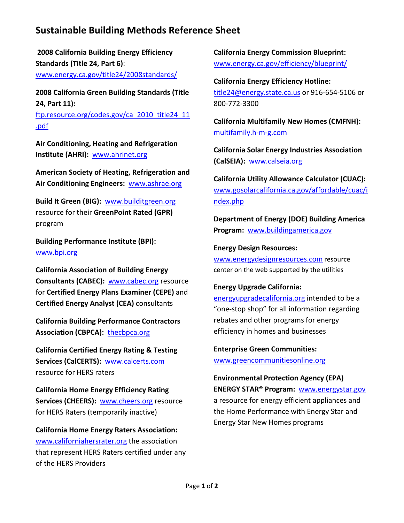# **Sustainable Building Methods Reference Sheet**

**2008 California Building Energy Efficiency Standards (Title 24, Part 6)**: [www.energy.ca.gov/title24/2008standards/](http://www.energy.ca.gov/title24/2008standards/)

**2008 California Green Building Standards (Title 24, Part 11):**

[ftp.resource.org/codes.gov/ca\\_2010\\_title24\\_11](ftp://ftp.resource.org/codes.gov/ca_2010_title24_11.pdf) [.pdf](ftp://ftp.resource.org/codes.gov/ca_2010_title24_11.pdf)

**Air Conditioning, Heating and Refrigeration Institute (AHRI):** [www.ahrinet.org](http://www.ahrinet.org/)

**American Society of Heating, Refrigeration and Air Conditioning Engineers:** [www.ashrae.org](http://www.ashrae.org/)

**Build It Green (BIG):** [www.builditgreen.org](http://www.builditgreen.org/) resource for their **GreenPoint Rated (GPR)** program

**Building Performance Institute (BPI):** [www.bpi.org](http://www.bpi.org/)

**California Association of Building Energy Consultants (CABEC):** [www.cabec.org](http://www.cabec.org/) resource for **Certified Energy Plans Examiner (CEPE)** and **Certified Energy Analyst (CEA)** consultants

**California Building Performance Contractors Association (CBPCA):** [thecbpca.org](http://www.cbpca.org/)

**California Certified Energy Rating & Testing Services (CalCERTS):** [www.calcerts.com](http://www.calcerts.com/) resource for HERS raters

**California Home Energy Efficiency Rating Services (CHEERS):** [www.cheers.org](http://www.cheers.org/) resource for HERS Raters (temporarily inactive)

**California Home Energy Raters Association:** [www.californiahersrater.org](http://www.californiahersrater.org/) the association that represent HERS Raters certified under any of the HERS Providers

**California Energy Commission Blueprint:** [www.energy.ca.gov/efficiency/blueprint/](http://www.energy.ca.gov/efficiency/blueprint/)

**California Energy Efficiency Hotline:** [title24@energy.state.ca.us](mailto:title24@energy.state.ca.us) or 916‐654‐5106 or 800‐772‐3300

**California Multifamily New Homes (CMFNH):** [multifamily.h](http://multifamily.h-m-g.com/)‐m‐g.com

**California Solar Energy Industries Association (CalSEIA):** [www.calseia.org](http://www.calseia.org/)

**California Utility Allowance Calculator (CUAC):** [www.gosolarcalifornia.ca.gov/affordable/cuac/i](http://www.gosolarcalifornia.ca.gov/affordable/cuac/index.php) [ndex.php](http://www.gosolarcalifornia.ca.gov/affordable/cuac/index.php)

**Department of Energy (DOE) Building America Program:** [www.buildingamerica.gov](http://www.buildingamerica.gov/)

#### **Energy Design Resources:**

[www.energydesignresources.com](http://www.energydesignresources.com/) resource center on the web supported by the utilities

#### **Energy Upgrade California:**

[energyupgradecalifornia.org](http://energyupgradecalifornia.org/) intended to be a "one‐stop shop" for all information regarding rebates and other programs for energy efficiency in homes and businesses

**Enterprise Green Communities:** [www.greencommunitiesonline.org](http://www.greencommunitiesonline.org/)

**Environmental Protection Agency (EPA)**

**ENERGY STAR® Program:** [www.energystar.gov](http://www.energystar.gov/) a resource for energy efficient appliances and the Home Performance with Energy Star and Energy Star New Homes programs